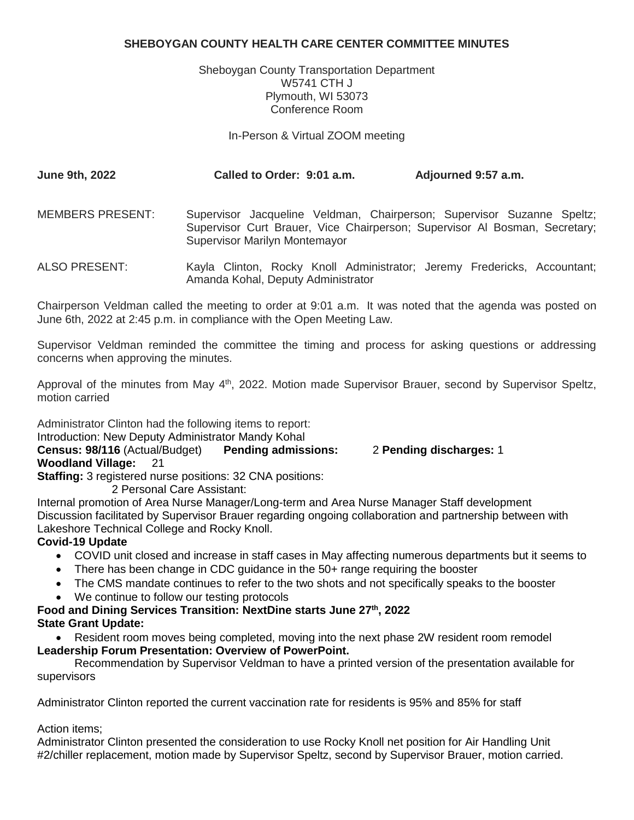## **SHEBOYGAN COUNTY HEALTH CARE CENTER COMMITTEE MINUTES**

Sheboygan County Transportation Department W5741 CTH J Plymouth, WI 53073 Conference Room

In-Person & Virtual ZOOM meeting

| <b>June 9th, 2022</b> | Called to Order: 9:01 a.m.    | Adjourned 9:57 a.m.                                                                                                                                  |
|-----------------------|-------------------------------|------------------------------------------------------------------------------------------------------------------------------------------------------|
| MEMBERS PRESENT:      | Supervisor Marilyn Montemayor | Supervisor Jacqueline Veldman, Chairperson; Supervisor Suzanne Speltz;<br>Supervisor Curt Brauer, Vice Chairperson; Supervisor Al Bosman, Secretary; |
| <b>ALSO PRESENT:</b>  |                               | Kayla Clinton, Rocky Knoll Administrator; Jeremy Fredericks, Accountant;                                                                             |

Chairperson Veldman called the meeting to order at 9:01 a.m. It was noted that the agenda was posted on June 6th, 2022 at 2:45 p.m. in compliance with the Open Meeting Law.

Amanda Kohal, Deputy Administrator

Supervisor Veldman reminded the committee the timing and process for asking questions or addressing concerns when approving the minutes.

Approval of the minutes from May 4<sup>th</sup>, 2022. Motion made Supervisor Brauer, second by Supervisor Speltz, motion carried

Administrator Clinton had the following items to report:

Introduction: New Deputy Administrator Mandy Kohal

**Census: 98/116** (Actual/Budget) **Pending admissions:** 2 **Pending discharges:** 1 **Woodland Village:** 21

**Staffing:** 3 registered nurse positions: 32 CNA positions:

2 Personal Care Assistant:

Internal promotion of Area Nurse Manager/Long-term and Area Nurse Manager Staff development Discussion facilitated by Supervisor Brauer regarding ongoing collaboration and partnership between with Lakeshore Technical College and Rocky Knoll.

## **Covid-19 Update**

- COVID unit closed and increase in staff cases in May affecting numerous departments but it seems to
- There has been change in CDC guidance in the 50+ range requiring the booster
- The CMS mandate continues to refer to the two shots and not specifically speaks to the booster
- We continue to follow our testing protocols

## **Food and Dining Services Transition: NextDine starts June 27th, 2022 State Grant Update:**

• Resident room moves being completed, moving into the next phase 2W resident room remodel **Leadership Forum Presentation: Overview of PowerPoint.** 

Recommendation by Supervisor Veldman to have a printed version of the presentation available for supervisors

Administrator Clinton reported the current vaccination rate for residents is 95% and 85% for staff

Action items;

Administrator Clinton presented the consideration to use Rocky Knoll net position for Air Handling Unit #2/chiller replacement, motion made by Supervisor Speltz, second by Supervisor Brauer, motion carried.